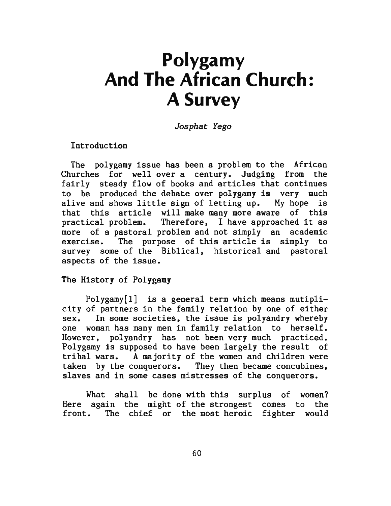# **Polygamy And The African Church: A Survey**

Josphat Yego

Introduction

The polygamy issue has been a problem to the African Churches for well over a century. Judging from the fairly steady flow of books and articles that continues to be produced the debate over polygamy is very much alive and shows little sign of letting up. My hope is that this article will make many more aware of this practical problem. Therefore, I have approached it as more of a pastoral problem and not simply an academic exercise. The purpose of this article is simply to survey some of the Biblical, historical and pastoral aspects of the issue.

The History of Polygamy

Polygamy[l] is a general term which means mutiplicity of partners in the family relation by one of either sex. In some societies, the issue is polyandry whereby one woman has many men in family relation to herself. However, polyandry has not been very much practiced. Polygamy is supposed to have been largely the result of tribal wars. A majority of the women and children were taken by the conquerors. They then became concubines, slaves and in some cases mistresses of the conquerors.

What shall be done with this surplus of women? Here again the might of the strongest comes to the front. The chief or the most heroic fighter would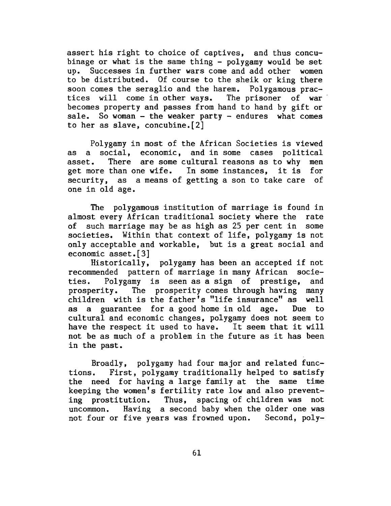assert his right to choice of captives, and thus concubinage or what is the same thing - polygamy would be set up. Successes in further wars come and add other women to be distributed. Of course to the sheik or king there soon comes the seraglio and the harem. Polygamous practices will come in other ways. The prisoner of war becomes property and passes from hand to hand by gift or sale. So woman  $-$  the weaker party  $-$  endures what comes to her as slave, concubine.[2]

Polygamy in most of the African Societies is viewed as a social, economic, and in some cases political asset. There are some cultural reasons as to why men get more than one wife. In some instances, it is for security, as a means of getting a son to take care of one in old age.

The polygamous institution of marriage is found in almost every African traditional society where the rate of such marriage may be as high as 25 per cent in some societies. Within that context of life, polygamy is not only acceptable and workable, but is a great social and economic asset.[3]

Historically, polygamy has been an accepted if not recommended pattern of marriage in many African societies. Polygamy is seen as a sign of prestige, and prosperity. The prosperity comes through having many children with is the father's "life insurance" as well as a guarantee for a good home in old age. Due to cultural and economic changes, polygamy does not seem to have the respect it used to have. It seem that it will not be as much of a problem in the future as it has been in the past.

Broadly, polygamy had four major and related functions. First, polygamy traditionally helped to satisfy the need for having a large family at the same time keeping the women's fertility rate low and also preventing prostitution. Thus, spacing of children was not uncommon. Having a second baby when the older one was not four or five years was frowned upon. Second, poly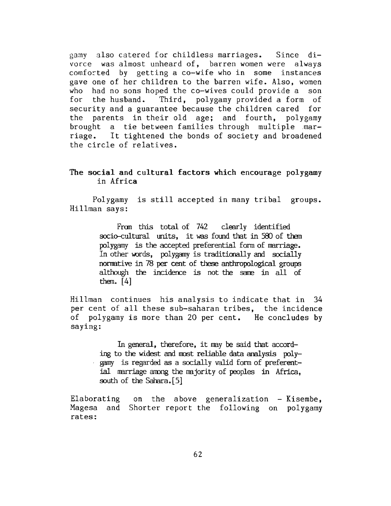gamy also catered for childless marriages. Since divorce was almost unheard of, barren women were always comforted by getting a co-wife who in some instances gave one of her children to the barren wife. Also, women who had no sons hoped the co-wives could provide a son for the husband. Third, polygamy provided a form of security and a guarantee because the children cared for the parents in their old age; and fourth, polygamy brought a tie between families through multiple .marriage. It tightened the bonds of society and broadened the circle of relatives.

## The social and cultural factors which encourage polygamy in Africa

Polygamy is still accepted in many tribal groups. Hillman says:

> Fran this total of 742 clearly identified socio-cultural units, it was found that in 580 of them polygamy is the accepted preferential form of marriage. In other words, polygamy is traditionally and socially nonmtive in 78 per cent of these anthropological groups although the incidence is not the same in all of them.  $[4]$

Hillman continues his analysis to indicate that in 34 per cent of all these sub-saharan tribes, the incidence of polygamy is more than 20 per cent. He concludes by saying:

In general, therefore, it may be said that according to the widest and most reliable data analysis  $poly$ gamy is regarded as a socially valid form of preferential marriage among the majority of peoples in Africa, south of the Sahara. [5]

Elaborating on the above generalization - Kisembe, Magesa and Shorter report the following on polygamy rates: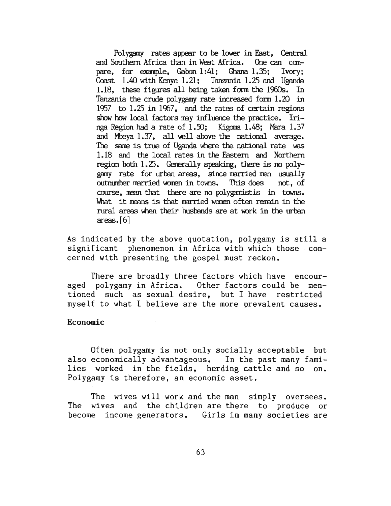Polygamy rates appear to be lower in East, Central and Southern Africa than in West Africa. One can canpare, for example, Gabon  $1:41$ ; Ghana  $1.35$ ; Ivory; Coast 1.40 with Kenya 1.21; Tanzania 1.25 and Uganda 1.18, these figures all being taken form the 1960s. In Tanzania the crude polygamy rate increased form  $1.20$  in 1957 to  $1.25$  in 1967, and the rates of certain regions show how local factors may influence the practice. Iringa Region had a rate of  $1.50$ ; Kigoma  $1.48$ ; Mara  $1.37$ and Mbeya 1.37, all well above the national average. The same is true of Uganda where the national rate was 1.18 and the local rates in the Eastern and Northern region both  $1.25$ . Generally speaking, there is no polygamy rate for urban areas, since married men usually outnumber married women in towns. This does not, of course, mean that there are no polygamistis in towns. What it means is that married women often remain in the rural areas when their husbands are at work in the urban  $area: [6]$ 

As indicated by the above quotation, polygamy is still a significant phenomenon in Africa with which those concerned with presenting the gospel must reckon.

There are broadly three factors which have encouraged polygamy in Africa. Other factors could be mentioned such as sexual desire, but I have restricted myself to what I believe are the more prevalent causes.

#### Economic

Of ten polygamy is not only socially acceptable but also economically advantageous. In the past many families worked in the fields, herding cattle and so on. Polygamy is therefore, an economic asset.

The wives will work and the man simply oversees. The wives and the children are there to produce or become income generators. Girls in many societies are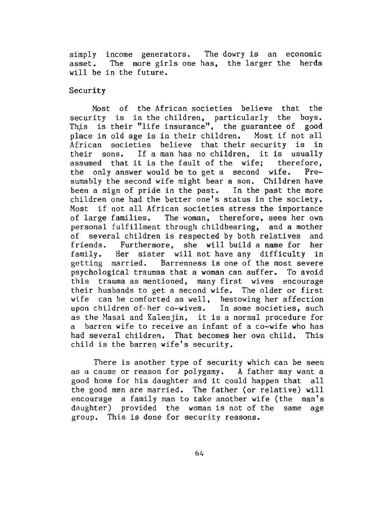simply income generators. The dowry is an economic asset. The more girls one has, the larger the herds will be in the future.

## Security

Most of the African societies believe that the security is in the children, particularly the boys. This is their "life insurance", the guarantee of good place in old age is in their children. Most if not all African societies believe that their security is in their sons. If a man has no children, it is usually assumed that it is the fault of the wife; therefore, the only answer would be to get a second wife. Presumably the second wife might bear a son. Children have been a sign of pride in the past. In the past the more children one had the better one's status in the society. Most if not all African societies stress the importance of large families. The woman, therefore, sees her own personal fulfillment through childbearing, and a mother of several children is respected by both relatives and friends. Furthermore, she will build a name for her family. Her sister will not have any difficulty in getting married. Barrenness is one of the most severe psychological traumas that a woman can suffer. To avoid this trauma as mentioned, many first wives encourage their husbands to get a second wife. The older or first wife can be comforted as well, bestowing her affection upon children of· her co-wives. In some societies, such as the Masai and Kalenjin, it is a normal procedure for a barren wife to receive an infant of a co-wife who has had several children. That becomes her own child. This child is the barren wife's security.

There is another type of security which can be seen as a cause or reason for polygamy. A father may want a good home for his daughter and it could happen that all the good men are married. The father (or relative) will encourage a family man to take another wife (the man's daughter) provided the woman is not of the same age group. This is done for security reasons.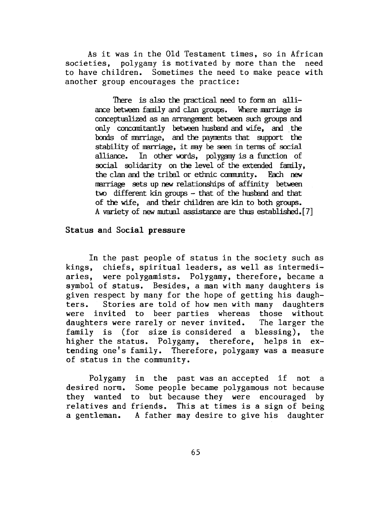As it was in the Old Testament times, so in African societies, polygamy is motivated by more than the need polygamy is motivated by more than the need to have children. Sometimes the need to make peace with another group encourages the practice:

> There is also the practical need to form an alliance between family and clan groups. Where marriage is conceptualized as an arrangement between such groups and only concomitantly between husband and wife, and the bonds of marriage, and the payments that support the stability of marriage, it may be seen in terms of social alliance. In other words, polygamy is a function of social solidarity on the level of the extended family, the clan and the tribal or ethnic community. Each new marriage sets up new relationships of affinity between two different kin groups  $-$  that of the husband and that of the wife, and their children are kin to both groups. A variety of new mutual assistance are thus established. [7]

#### Status and Social pressure

In the past people of status in the society such as kings, chiefs, spiritual leaders, as well as intermediaries, were polygamists. Polygamy, therefore, became a symbol of status. Besides, a man with many daughters is given respect by many for the hope of getting his daughters. Stories are told of how men with many daughters were invited to beer parties whereas those without daughters were rarely or never invited. The larger the family is (for size is considered a blessing), the higher the status. Polygamy, therefore, helps in extending one's family. Therefore, polygamy was a measure of status in the community.

Polygamy desired norm. they wanted to but because they were encouraged by relatives and a gentleman. A father may desire to give his daughter in the past was an accepted if not a Some people became polygamous not because ecause they were encouraged by<br>This at times is a sign of being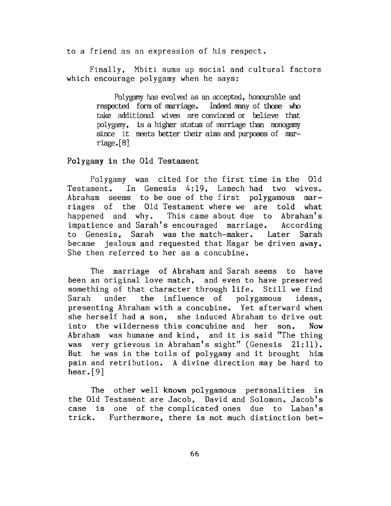to a friend as an expression of his respect.

Finally, Mbiti sums up social and cultural factors which encourage polygamy when he says:

> Polygamy has evolved as an accepted, honourable and respected form of marriage. Indeed many of those who take additional wives are convinced or believe that polygamy, is a higher status of marriage than monogamy since it meets better their aims and purposes of marriage. [ 8]

Polygamy in the Old Testament

Polygamy was cited for the first time in the Old Testament. In Genesis 4:19, Lamech had two wives. Abraham seems to be one of the first polygamous marriages of the Old Testament where we are told what happened and why. This came about due to Abraham's impatience and Sarah's encouraged marriage. According to Genesis, Sarah was the match-maker. Later Sarah became jealous and requested that Hagar be driven away. She then referred to her as a concubine.

The marriage of Abraham and Sarah seems to have been an original love match, and even to have preserved something of that character through life. Still we find Sarah under the influence of polygamous ideas, presenting Abraham with a concubine. Yet afterward when she herself had a son, she induced Abraham to drive out into the wilderness this concubine and her son. Now Abraham was humane and kind, and it is said "The thing was very grievous in Abraham's sight" (Genesis 21:11). But he was in the toils of polygamy and it brought him pain and retribution. A divine direction may be hard to hear.[9]

The other well known polygamous personalities in the Old Testament are Jacob, David and Solomon. Jacob's case is one of the complicated ones due to Laban's trick. Furthermore, there is not much distinction bet-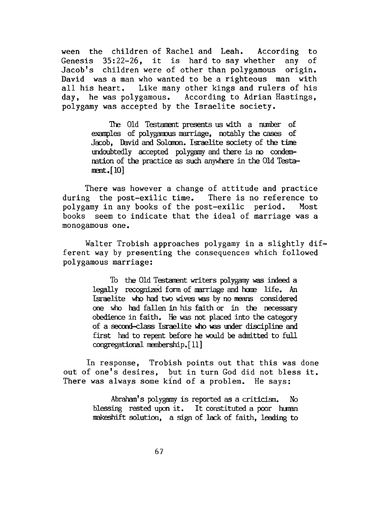ween the children of Rachel and Leah. According to Genesis 35:22-26, it is hard to say whether any of Jacob's children were of other than polygamous origin. David was a man who wanted to be a righteous man with all his heart. Like many other kings and rulers of his day, he was polygamous. According to Adrian Hastings, polygamy was accepted by the Israelite society.

> The Old Testament presents us with a number of examples of polygamous marriage, notably the cases of Jacob. David and Solomon. Israelite society of the time undoubtedly accepted polygamy and there is no condemnation of the practice as such anywhere in the Old Testa $ment.[10]$

There was however a change of attitude and practice during the post-exilic time. There is no reference to polygamy in any books of the post-exilic period. Most books seem to indicate that the ideal of marriage was a monogamous one.

Walter Trobish approaches polygamy in a slightly different way by presenting the consequences which followed polygamous marriage:

> To the Old Testament writers polygamy was indeed a legally recognized form of marriage and home life. An Israelite who had two wives was by no means considered one who had fallen in his faith or in the necessary obedience in faith. He was not placed into the category of a second-class Israelite who was under discipline and first had to repent before he would be achnitted to full congregational membership. [11]

In response, Trobish points out that this was done out of one's desires, but in turn God did not bless it. There was always some kind of a problem. He says:

> Abraham's polygamy is reported as a criticism. No blessing rested upon it. It constituted a poor human rmkeshift oolution, a sign of lack of faith, leading to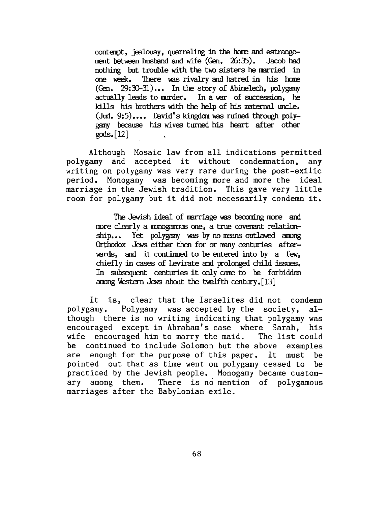contanpt, jealousy, quarreling in the home and estrangement between husband and wife (Gen. 26:35). Jacob had nothing but trouble with the two sisters he married in one week. There was rivalry and hatred in his home  $(Gen. 29:30-31)...$  In the story of Abimelech, polygamy actually leads to murder. In a war of succession, he kills his brothers with the help of his maternal uncle.  $(Jud. 9:5)$ .... David's kingdom was ruined through polygany because his wives turned his heart after other gods. [ 12]

Although Mosaic law from all indications permitted polygamy and accepted it without condemnation, any writing on polygamy was very rare during the post-exilic period. Monogamy . was becoming more and more the ideal marriage in the Jewish tradition. This gave very little room for polygamy but it did not necessarily condemn it.

> The Jewish ideal of marriage was becoming more and more clearly a monogamous one, a true covenant relationship... Yet polygamy was by no means outlawed among Orthodox Jews either then for or many centuries afterwards, and it continued to be entered into by a few. chiefly in cases of Levirate and prolonged child issues. In subsequent centuries it only came to be forbidden among Western Jews about the twelfth century.  $[13]$

It is, clear that the Israelites did not condemn polygamy. Polygamy was accepted by the society, although there is no writing indicating that polygamy was encouraged except in Abraham's case where Sarah, his wife encouraged him to marry the maid. The list could be continued to include Solomon but the above examples are enough for the purpose of this paper. It must be pointed out that as time went on polygamy ceased to be practiced by the Jewish people. Monogamy became customary among them. There is no mention of polygamous marriages after the Babylonian exile.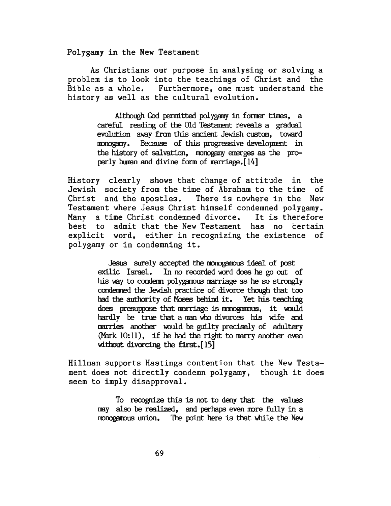Polygamy in the New Testament

As Christians our purpose in analysing or solving a problem is to look into the teachings of Christ and the Bible as a whole. Furthermore, one must understand the history as well as the cultural evolution.

> Although God permitted polygamy in former times, a careful reading of the Old Testament reveals a gradual evolution away from this ancient Jewish custom, toward monogamy. Because of this progressive development in the history of salvation, monogamy energes as the proper ly human and divine form of marriage.  $[14]$

History clearly shows that change of attitude in the Jewish society from the time of Abraham to the time of Christ and the apostles. There is nowhere in the New Testament where Jesus Christ himself condemned polygamy. Many a time Christ condemned divorce. It is therefore best to admit that the New Testament has no certain explicit word, either in recognizing the existence of polygamy or in condemning it.

> Jesus surely accepted the monogamous ideal of post exilic Israel. In no recorded word does he go out of his way to condemn polygamous marriage as he so strongly condenned the Jewish practice of divorce though that too had the authority of Moses behind it. Yet his teaching does presuppose that marriage is monogamous, it would hardly be true that a man who divorces his wife and marries another would be guilty precisely of adultery (Mark  $10:11$ ), if he had the right to marry another even without divorcing the first. $[15]$

Hillman supports Hastings contention that the New Testament does not directly condemn polygamy, though it does seem to imply disapproval.

> To recognize this is not to deny that the valtes may also be realized, and perhaps even more fully in a monogamous union. The point here is that while the New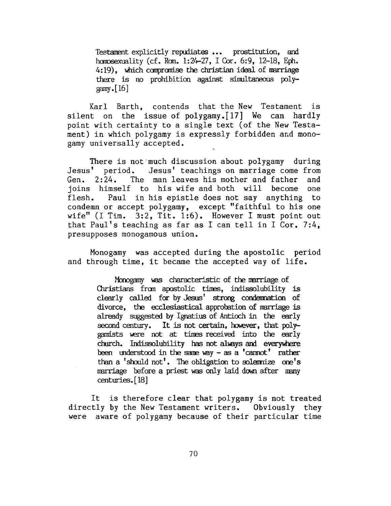Testament explicitly repudiates ... prostitution, and homosexuality (cf. Rom. 1:24-27, I Cor. 6:9, 12-18, Eph. 4:19), which compromise the christian ideal of marriage there is no prohibition against sinultaneous polygamy.  $[16]$ 

Karl Barth, contends that the New Testament is silent on the issue of polygamy. [17] We can hardly point with certainty to a single text (of the New Testament) in which polygamy is expressly forbidden and monogamy universally accepted.

There is not much discussion about polygamy during<br>Jesus' period. Jesus' teachings on marriage come from Jesus' teachings on marriage come from Gen. 2:24. The man leaves his mother and father and joins himself to his wife and both wiil become one flesh. Paul in his epistle does not say anything to condemn or accept polygamy, except "faithful to his one wife" (I Tim. 3:2, Tit. 1:6). However I must point out that Paul's teaching as far as I can tell in I Cor. 7:4, presupposes monogamous union.

Monogamy was accepted during the apostolic period and through time, it became the accepted way of life.

> Monogamy was characteristic of the marriage of Christians from apostolic times, indissolubility is clearly called for by Jesus' strong condemnation of divorce, the ecclesiastical approbation of marriage is already suggested by Ignatius of Antioch in the early second century. It is not certain, however, that  $poly$ gamists were not at times received into the early church. Indissolubility has not always and everywhere been understood in the same way - as a 'cannot' rather than a 'should not'. The obligation to solemnize one's marriage before a priest was only laid down after many centuries.<sup>[18]</sup>

It is therefore clear that polygamy is not treated directly by the New Testament writers. Obviously they were aware of polygamy because of their particular time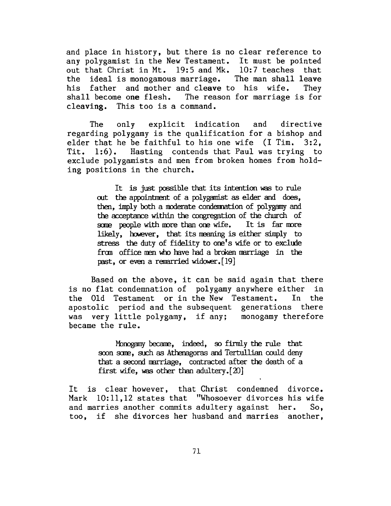and place in history, but there is no clear reference to any polygamist in the New Testament. It must be pointed out that Christ in Mt. 19:5 and Mk. 10:7 teaches that the ideal is monogamous marriage. The man shall leave his father and mother and cleave to his wife. They shall become one flesh. The reason for marriage is for cleaving. This too is a command.

The only explicit indication and directive regarding polygamy is the qualification for a bishop and elder that he be faithful to his one wife (I Tim. 3:2, Tit. 1:6). Hasting contends that Paul was trying to exclude polygamists and men from broken homes from holding positions in the church.

> It is just possible that its intention was to rule out the appointnent of a polygamist as elder and does, then, imply both a moderate condemation of polygamy and the acceptance within the congregation of the church of some people with more than one wife. It is far more likely, however, that its meaning is either simply to stress the duty of fidelity to one's wife or to exclude from office men who have had a broken marriage in the past, or even a remarried widower. [19]

Based on the above, it can be said again that there is no flat condemnation of polygamy anywhere either in the Old Testament or in the New Testament. In the apostolic period and the subsequent generations there was very little polygamy, if any; monogamy therefore became the rule.

> Monogamy became, indeed, so firmly the rule that soon some, such as Athenagoras and Tertullian could deny that a second nmriage, contracted after the death of a first wife, was other than adultery.  $[20]$

It is clear however, that Christ condemned divorce. Mark 10:11,12 states that "Whosoever divorces his wife and marries another commits adultery against her. So, too, if she divorces her husband and marries another,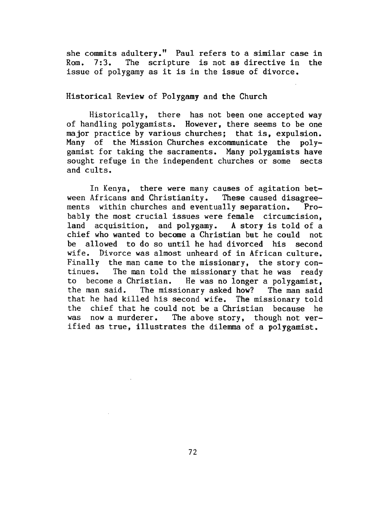she commits adultery." Paul refers to a similar case in Rom. 7:3. The scripture is not as directive in the issue of polygamy as it is in the issue of divorce.

## Historical Review of Polygamy and the Church

Historically, there has not been one accepted way of handling polygamists. However, there seems to be one major practice by various churches; that is, expulsion. Many of the Mission Churches excommunicate the polygamist for taking the sacraments. Many polygamists have sought refuge in the independent churches or some sects and cults.

In Kenya, there were many causes of agitation between Africans and Christianity. These caused disagreements within churches and eventually separation. Probably the most crucial issues were female circumcision, land acquisition, and polygamy. A story is told of a chief who wanted to become a Christian but he could not be allowed to do so until he had divorced his second wife. Divorce was almost unheard of in African culture. Finally the man came to the missionary, the story continues. The man told the missionary that he was ready to become a Christian. He was no longer a polygamist, the man said. The missionary asked how? The man said that he had killed his second wife. The missionary told the chief that he could not be a Christian because he was now a murderer. The above story, though not verified as true, illustrates the dilemma of a polygamist.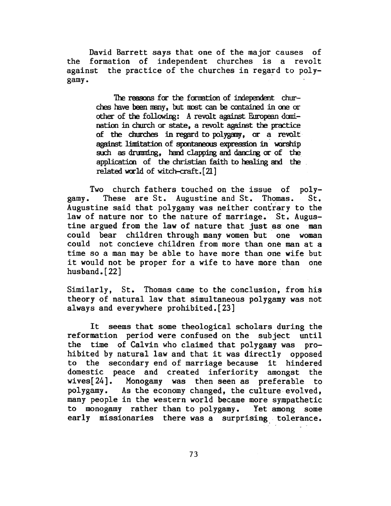David Barrett says that one of the major causes of the formation of independent churches is a revolt against the practice of the churches in regard to polygamy.

> The reasons for the formation of independent churches have been many, but most can be contained in one or other of the following: A revolt against European domination in church or state, a revolt against the proctice of the churches in regard to polygamy, or a revolt against limitation of spontaneous expression in worship such as drumning, hand clapping and dancing or of the application of the christian faith to healing and the related world of witch-craft.<sup>[21]</sup>

Two church fathers touched on the issue of polygamy. These are St. Augustine and St. Thomas. St. Augustine said that polygamy was neither contrary to the law of nature nor to the nature of marriage. St. Augustine argued from the law of nature that just as one man could bear children through many women but one woman could not concieve children from more than one man at a time so a man may be able to have more than one wife but it would not be proper for a wife to have more than one husband.[22]

Similarly, St. Thomas came to the conclusion, from his theory of natural law that simultaneous polygamy was not always and everywhere prohibited.[23]

It seems that some theological scholars during the reformation period were confused on the subject until the time of Calvin who claimed that polygamy was prohibited by natural law and that it was directly opposed to the secondary end of marriage because it hindered domestic peace and created inferiority amongst the wives[24]. Monogamy was then seen as preferable to polygamy. As the economy changed, the culture . evolved, many people in the western world became more sympathetic to monogamy rather than to polygamy. Yet among some early missionaries there was a surprising tolerance.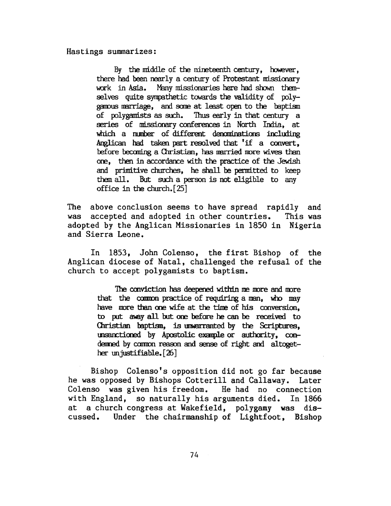Hastings summarizes:

By the middle of the nineteenth century, however, there had been nearly a century of Protestant missionary work in Asia. Many missionaries here had shown themselves quite sympathetic towards the validity of  $poly$ gamous marriage, and some at least open to the baptism of polygamists as such. Thus early in that century a series of missionary conferences in North India, at which a number of different denominations including Anglican had taken part resolved that 'if a convert, before becoming a Christian, has married more wives than ore, then in accordaoce with the practice of the Jewish and primitive churches, he shall be permitted to keep them all. But such a person is not eligible to any office in the church. $[25]$ 

The above conclusion seems to have spread rapidly and was accepted and adopted in other countries. This was adopted by the Anglican Missionaries in 1850 in Nigeria and Sierra Leone.

In 1853, John Colenso, the first Bishop of the Anglican diocese of Natal, challenged the refusal of the church to accept polygamists to baptism.

> The conviction has deepened within me more and more that the common practice of requiring a man, who may have more than one wife at the time of his conversion. to put away all but ore before he can be received to Ouristian baptism, is unwarranted by the Scriptures, unsanctioned by Apostolic example or authority, condenned by common reason and sense of right and altogether unjustifiable.  $[26]$

Bishop Colenso's opposition did not go far because he was opposed by Bishops Cotterill and Callaway. Later Colenso was given his freedom. He had no connection with England, so naturally his arguments died. In 1866 at a church congress at Wakefield, polygamy was discussed. Under the chairmanship of Lightfoot, Bishop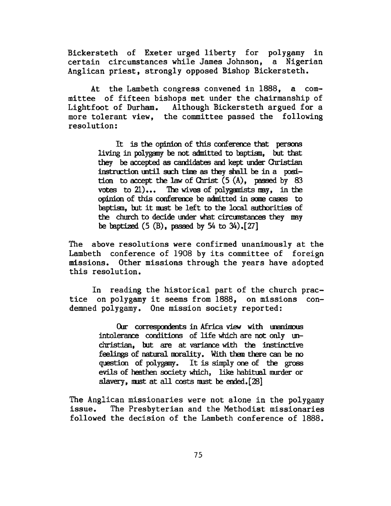Bickersteth of Exeter urged liberty for polygamy in certain circumstances while James Johnson, a Nigerian Anglican priest, strongly opposed Bishop Bickersteth.

At the Lambeth congress convened in 1888, a committee of fifteen bishops met under the chairmanship of Lightfoot of Durham. Although Bickersteth argued for a more tolerant view, the committee passed the following resolution:

> It is the opinion of this conference that persons living in polygamy be not admitted to baptism, but that they be accepted as candidates and kept under Christian  $instructor$  until such time as they shall be in a position to accept the law of Christ  $(5(A))$ , passed by 83 votes to  $21$ )... The wives of polygamists may, in the opinion of this conference be admitted in some cases to baptism, but it must be left to the local authorities of the church to decide under what circumstances they may be baptized  $(5 \text{ (B)}$ , passed by  $54$  to  $34$ ).[27]

The above resolutions were confirmed unanimously at the Lambeth conference of 1908 by its committee of foreign missions. Other missions through the years have adopted this resolution.

In reading the historical part of the church practice on polygamy it seems from 1888, on missions condemned polygamy. One mission society reported:

> Our correspondents in Africa view with unanimous  $intolerance$  conditions of life which are not only unchristian, but are at variance with the instinctive feelings of natural morality. With them there can be no question of polygamy. It is simply one of the gross evils of heathen society which, like habitual murder or slavery, must at all costs must be ended.  $[28]$

The Anglican missionaries were not alone in the polygamy issue. The Presbyterian and the Methodist missionaries followed the decision of the Lambeth conference of 1888.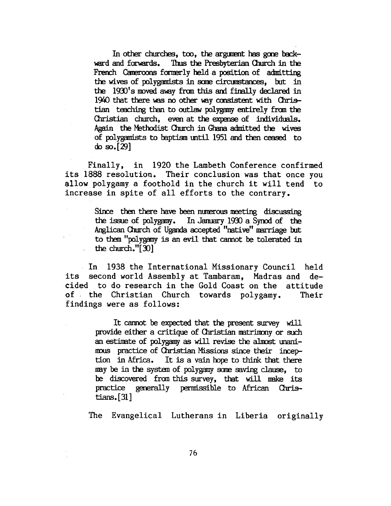In other churches, too, the argument has gone backward and forwards. Thus the Presbyterian Church in the French Cameroons formerly held a position of admitting the wives of polygamists in some circumstances, but in the 1930's moved away from this and finally declared in 1940 that there was no other way consistent with Christian teaching than to outlaw polygamy entirely from the Christian church, even at the expense of individuals. Again the Methodist Church in Ghana admitted the wives of polygamists to baptism until 1951 and then ceased to do so.[29]

Finally, in 1920 the Lambeth Conference confirmed its 1888 resolution. Their conclusion was that once you allow polygamy a foothold in the church it will tend to increase in spite of all efforts to the contrary.

> Since then there have been numerous meeting discussing the issue of polygamy. In Jarruary 193) a Symd of the Anglican Church of Uganda accepted "native" marriage but to them "polygamy is an evil that cannot be tolerated in the church."[ 3)]

In 1938 the International Missionary Council held its second world Assembly at Tambaram, Madras and decided to do research in the Gold Coast on the attitude of . the Christian Church towards polygamy. Their findings were as follows:

> It cannot be expected that the present survey will provide either a critique of Christian matrimony or such an estimate of polygamy as will revise the almost unanimous practice of Christian Missions since their inception in Africa. It is a vain hope to think that there may be in the system of polygamy some saving clause, to be discovered from this survey, that will make its practice generally permissible to African Christians.  $[31]$

The Evangelical Lutherans in Liberia originally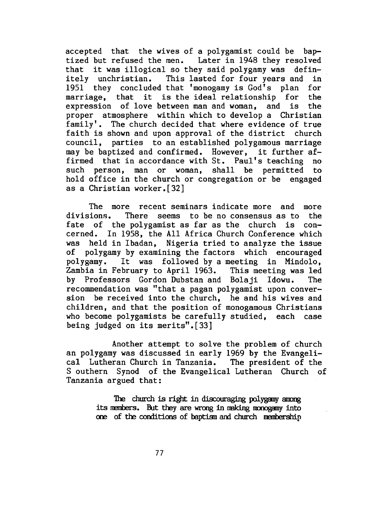accepted that the wives of a polygamist could be baptized but refused the men. Later in 1948 they resolved that it was illogical so they said polygamy was definitely unchristian. This lasted for four years and in 1951 they concluded that 'monogamy is God's plan for marriage, that it is the ideal relationship for the expression of love between man and woman, and is the proper atmosphere within which to develop a Christian family'. The church decided that where evidence of true faith is shown and upon approval of the district church council, parties to an established polygamous marriage may be baptized and confirmed. However, it further affirmed that in accordance with St. Paul's teaching no such person, man or woman, shall be permitted to hold office in the church or congregation or be engaged as a Christian worker.[32]

The more recent seminars indicate more and more divisions. There seems to be no consensus as to the fate of the polygamist as far as the church is concerned. In 1958, the All Africa Church Conference which was held in Ibadan, Nigeria tried to analyze the issue of polygamy by examining the factors which encouraged polygamy. It was followed by a meeting in Mindolo, Zambia in February to April 1963. This meeting was led by Professors Gordon Dubstan and Bolaji Idowu. The recommendation was "that a pagan polygamist upon conversion be received into the church, he and his wives and children, and that the position of monogamous Christians who become polygamists be carefully studied, each case being judged on its merits".[33]

Another attempt to solve the problem of church an polygamy was discussed in early 1969 by the Evangelical Lutheran Church in Tanzania. The president of the S outhern Synod of the Evangelical Lutheran Church of Tanzania argued that:

> The church *is* right in discouraging polygany anmg its members. But they are wrong in making monogamy into one of the conditions of baptism and church membership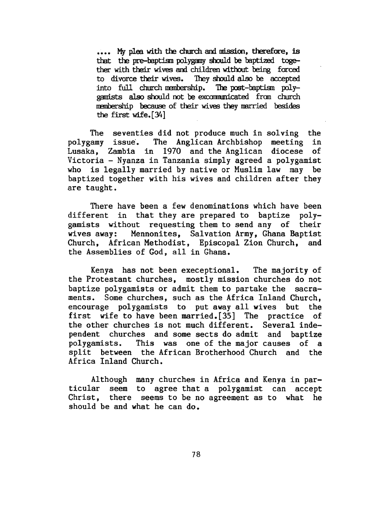•••• My plea with the church and mission, therefore, is that the pre-baptism polygamy should be baptized together with their wives and children without being forced to divorce their wives. They should also be accepted into full church membership. The post-baptism polygamists also should not be excommunicated from church membership because of their wives they married besides the first wife.[34]

The seventies did not produce much in solving the<br>amy issue. The Anglican Archbishop meeting in polygamy issue. The Anglican Archbishop meeting Lusaka, Zambia in 1970 and the Anglican diocese of Victoria - Nyanza in Tanzania simply agreed a polygamist<br>who is legally married by native or Muslim law may be who is legally married by native or Muslim law may baptized together with his wives and children after they are taught.

There have been a few denominations which have been different in that they are prepared to baptize polygamists without requesting them to send any of their wives away: Mennonites, Salvation Army, Ghana Baptist Church, African Methodist, Episcopal Zion Church, and the Assemblies of God, all in Ghana.

Kenya has not been execeptional. The majority of the Protestant churches, mostly mission churches do not baptize polygamists or admit them to partake the sacraments. Some churches, such as the Africa Inland Church, encourage polygamists to put away all wives but the first wife to have been married.[35] The practice of the other churches is not much different. Several independent churches and some sects do admit and baptize polygamists. This was one of the major causes of a split between the African Brotherhood Church and the Africa Inland Church.

Although many churches in Africa and Kenya in particular seem to agree that a polygamist can accept Christ, there seems to be no agreement as to what he should be and what he can do.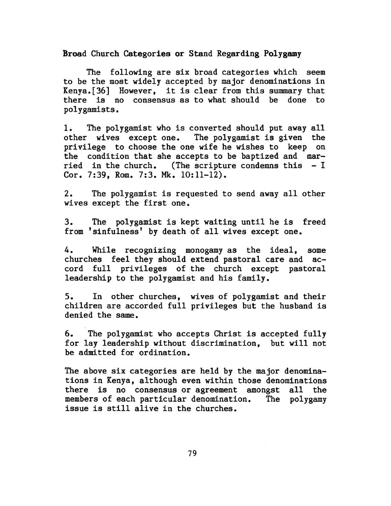Broad Church Categories or Stand Regarding Polygamy

The following are six broad categories which seem to be the most widely accepted by major denominations in Kenya.[36] However, it is clear from this summary that there is no consensus as to what should be done to polygamists.

1. The polygamist who is converted should put away all other wives except one. The polygamist is given the privilege to choose the one wife he wishes to keep on the condition that she accepts to be baptized and married in the church. (The scripture condemns this  $-I$ Cor. 7:39, Rom. 7:3. Mk. 10:11-12).

2. The polygamist is requested to send away all other wives except the first one.

3. The polygamist is kept waiting until he is freed from 'sinfulness' by death of all wives except one.

4. While recognizing monogamy as the ideal, some churches feel they should extend pastoral care and accord full privileges of the church except pastoral leadership to the polygamist and his family.

S. In other churches, wives of polygamist and their children are accorded full privileges but the husband is denied the same.

6. The polygamist who accepts Christ is accepted fully for lay leadership without discrimination, but will not be admitted for ordination.

The above six categories are held by the major denominations in Kenya, although even within those denominations there is no consensus or agreement amongst all the members of each particular denomination. The polygamy issue is still alive in the churches.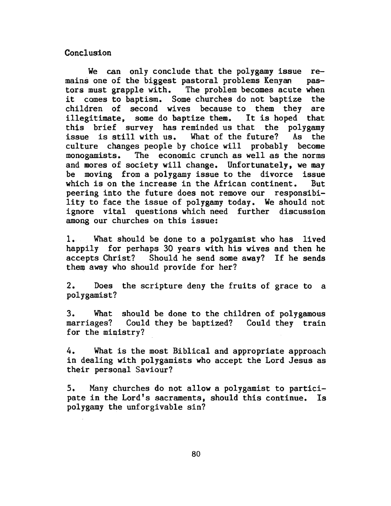## **Conclusion**

We can only conclude that the polygamy issue  $re$ mains one of the biggest pastoral problems Kenyan pastors must grapple with. The problem becomes acute when it comes to baptism. Some churches do not baptize the children of second wives because to them they are illegitimate, some do baptize them. It is hoped that this brief survey has reminded us that the polygamy issue is still with us. What of the future? As the culture changes people by choice will probably become monogamists. The economic crunch as well as the norms and mores of society will change. Unfortunately, we may be moving from a polygamy issue to the divorce issue which is on the increase in the African continent. But peering into the future does not remove our responsibility to face the issue of polygamy today. We should not ignore vital questions which need further discussion among our churches on this issue:

1. . What should be done to a polygamist who has lived happily for perhaps 30 years with his wives and then he accepts Christ? Should he send some away? If he sends them away who should provide for her?

2. Does the scripture deny the fruits of grace to a polygamist?

3. What should be done to the children of polygamous marriages? Could they be baptized? Could they train for the ministry?

4. What is the most Biblical and appropriate approach in dealing with polygamists who accept the Lord Jesus as their personal Saviour?

5. Many churches do not allow a polygamist to participate in the Lord's sacraments, should this continue. Is polygamy the unforgivable sin?

80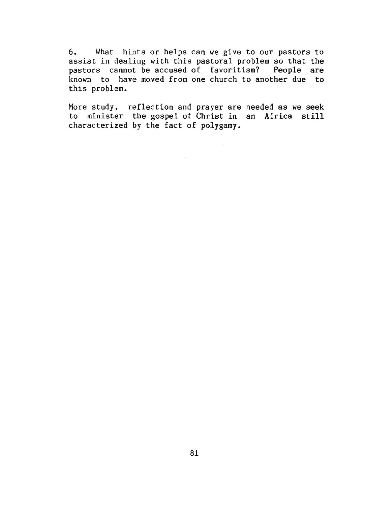6. What hints or helps can we give to our pastors to assist in dealing with this pastoral problem so that the pastors cannot be accused of favoritism? People are known to have moved from one church to another due to this problem.

More study, reflection and prayer are needed as we seek to minister the gospel of Christ in an Africa still characterized by the fact of polygamy.

 $\sim 10^7$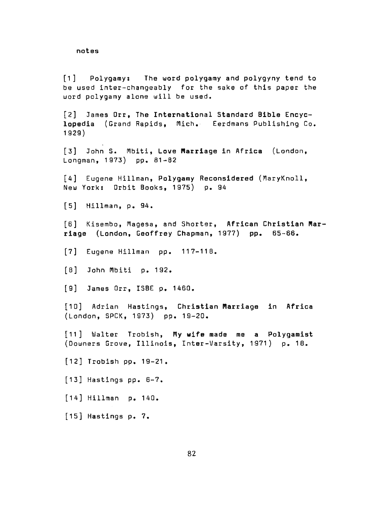notes

[1] Polygamy: The word polygamy and polygyny tend to be used inter-changeably for the sake of this paper the word polygamy alone will be used.

[2] James Orr, The International Standard Bible Encyclopedia (Grand Rapids, Mich. Eerdmans Publishing Co. 1929)

[3] John S. Mbiti, Love Marriage in Africa (London, Longman, 1973) pp. 81-82

[4] Eugene Hillman, Polygamy Reconsidered (MaryKnoll, New York: Orbit Books, 1975) p. 94

[5] Hillman, p. 94.

[6] Kisembo, Magesa, and Shorter, African Christian Marriage (London, Geoffrey Chapman, 1977) pp. 65-66.

[7] Eugene Hillman pp. 117-118.

[8] John Mbiti p. 192.

[9] James Orr, ISBE p. 1460.

[10] Adrian Hastings, Christian Marriage in Africa (London, SPCK, 1973) PP• 19-20.

[11] Walter Trobish, My wife made me a Polygamist (Downers Grove, Illinois, Inter-Varsity, 1971) p. 18.

[12] Trobish pp. 19-21.

[13] Hastings pp. 6-7.

[14] Hillman p. 140.

[15] Hastings p. 7.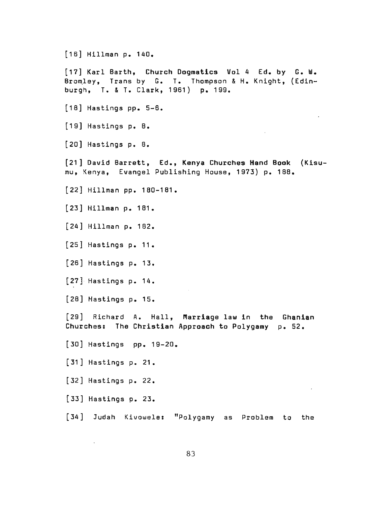[16] Hillman p. 140. [17] Karl Barth, Church Dogmatics Vol 4 Ed. by G. W. Bromley, Trans by G. T. Thompson & H. Knight, (Edinburgh, T. & T. Clark, 1961) p. 199.  $[18]$  Hastings pp. 5-6.  $[19]$  Hastings p. B. [20] Hastings p. 8. [ 21 ] David Barrett, Ed., Kenya Churches Hand Book (Kisumu, Kenya, Evangel Publishing House, 1973) p. 188. [22] Hillman pp. 180-181. [23] Hillman p. 181. [24] Hillman p. 182. [25] Hastings p. 11 • [26] Hastings p. 13. [27] Hastings P• 14.  $[28]$  Hastings p. 15. [29] Richard A. Hall, Marriage law in the Gh<mark>anian</mark> .<br>Churches: The Christian Approach to Polygamy p. 52. [30] Hastings pp. 19-20. [ 31 ] Hastings p. 21 • [32] Hastings P• 22.  $\epsilon$ [33] Hastings p. 23. [34] Judah Kivowele: "Polygamy as Problem to the